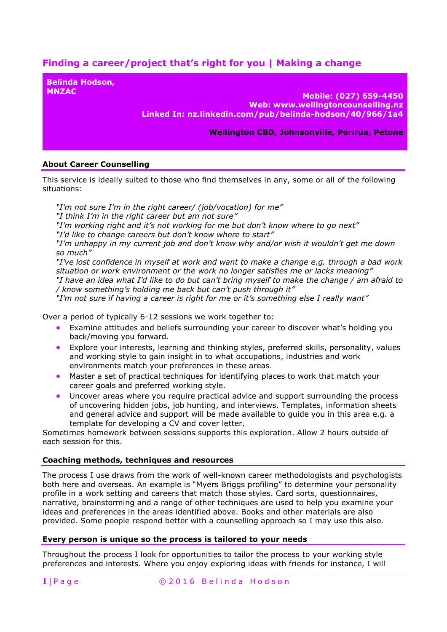# **Finding a career/project that's right for you | Making a change**

**Belinda Hodson,** 

**MNZAC Mobile: (027) 659-4450 Web: www.wellingtoncounselling.nz Linked In: nz.linkedin.com/pub/belinda-hodson/40/966/1a4**

**Wellington CBD, Johnsonville, Porirua, Petone**

## **About Career Counselling**

This service is ideally suited to those who find themselves in any, some or all of the following situations:

*"I'm not sure I'm in the right career/ (job/vocation) for me" "I think I'm in the right career but am not sure" "I'm working right and it's not working for me but don't know where to go next" "I'd like to change careers but don't know where to start" "I'm unhappy in my current job and don't know why and/or wish it wouldn't get me down so much" "I've lost confidence in myself at work and want to make a change e.g. through a bad work situation or work environment or the work no longer satisfies me or lacks meaning" "I have an idea what I'd like to do but can't bring myself to make the change / am afraid to / know something's holding me back but can't push through it" "I'm not sure if having a career is right for me or it's something else I really want"*

Over a period of typically 6-12 sessions we work together to:

- Examine attitudes and beliefs surrounding your career to discover what's holding you back/moving you forward.
- Explore your interests, learning and thinking styles, preferred skills, personality, values and working style to gain insight in to what occupations, industries and work environments match your preferences in these areas.
- Master a set of practical techniques for identifying places to work that match your career goals and preferred working style.
- Uncover areas where you require practical advice and support surrounding the process of uncovering hidden jobs, job hunting, and interviews. Templates, information sheets and general advice and support will be made available to guide you in this area e.g. a template for developing a CV and cover letter.

Sometimes homework between sessions supports this exploration. Allow 2 hours outside of each session for this.

### **Coaching methods, techniques and resources**

The process I use draws from the work of well-known career methodologists and psychologists both here and overseas. An example is "Myers Briggs profiling" to determine your personality profile in a work setting and careers that match those styles. Card sorts, questionnaires, narrative, brainstorming and a range of other techniques are used to help you examine your ideas and preferences in the areas identified above. Books and other materials are also provided. Some people respond better with a counselling approach so I may use this also.

### **Every person is unique so the process is tailored to your needs**

Throughout the process I look for opportunities to tailor the process to your working style preferences and interests. Where you enjoy exploring ideas with friends for instance, I will